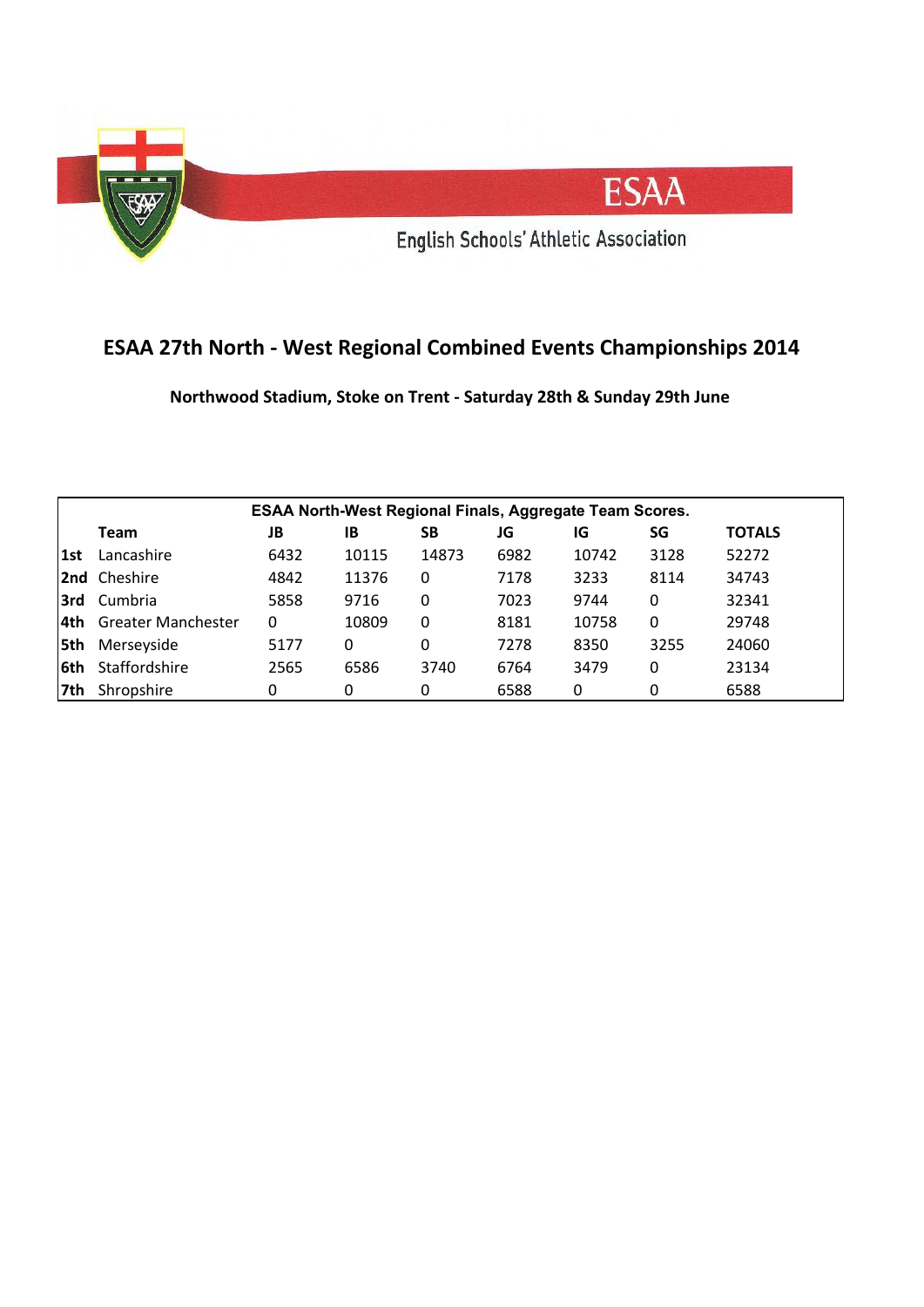

# **ESAA 27th North - West Regional Combined Events Championships 2014**

**Northwood Stadium, Stoke on Trent - Saturday 28th & Sunday 29th June**

|       | <b>ESAA North-West Regional Finals, Aggregate Team Scores.</b> |      |       |       |      |       |      |               |
|-------|----------------------------------------------------------------|------|-------|-------|------|-------|------|---------------|
|       | <b>Team</b>                                                    | JB   | ΙB    | SΒ    | JG   | IG    | SG   | <b>TOTALS</b> |
| l 1st | Lancashire                                                     | 6432 | 10115 | 14873 | 6982 | 10742 | 3128 | 52272         |
|       | 2nd Cheshire                                                   | 4842 | 11376 | 0     | 7178 | 3233  | 8114 | 34743         |
| l3rd  | Cumbria                                                        | 5858 | 9716  | 0     | 7023 | 9744  | 0    | 32341         |
| l4th  | <b>Greater Manchester</b>                                      | 0    | 10809 | 0     | 8181 | 10758 | 0    | 29748         |
| l5th  | Merseyside                                                     | 5177 | 0     | 0     | 7278 | 8350  | 3255 | 24060         |
| l6th  | Staffordshire                                                  | 2565 | 6586  | 3740  | 6764 | 3479  | 0    | 23134         |
| l7th  | Shropshire                                                     | 0    |       | 0     | 6588 | 0     | 0    | 6588          |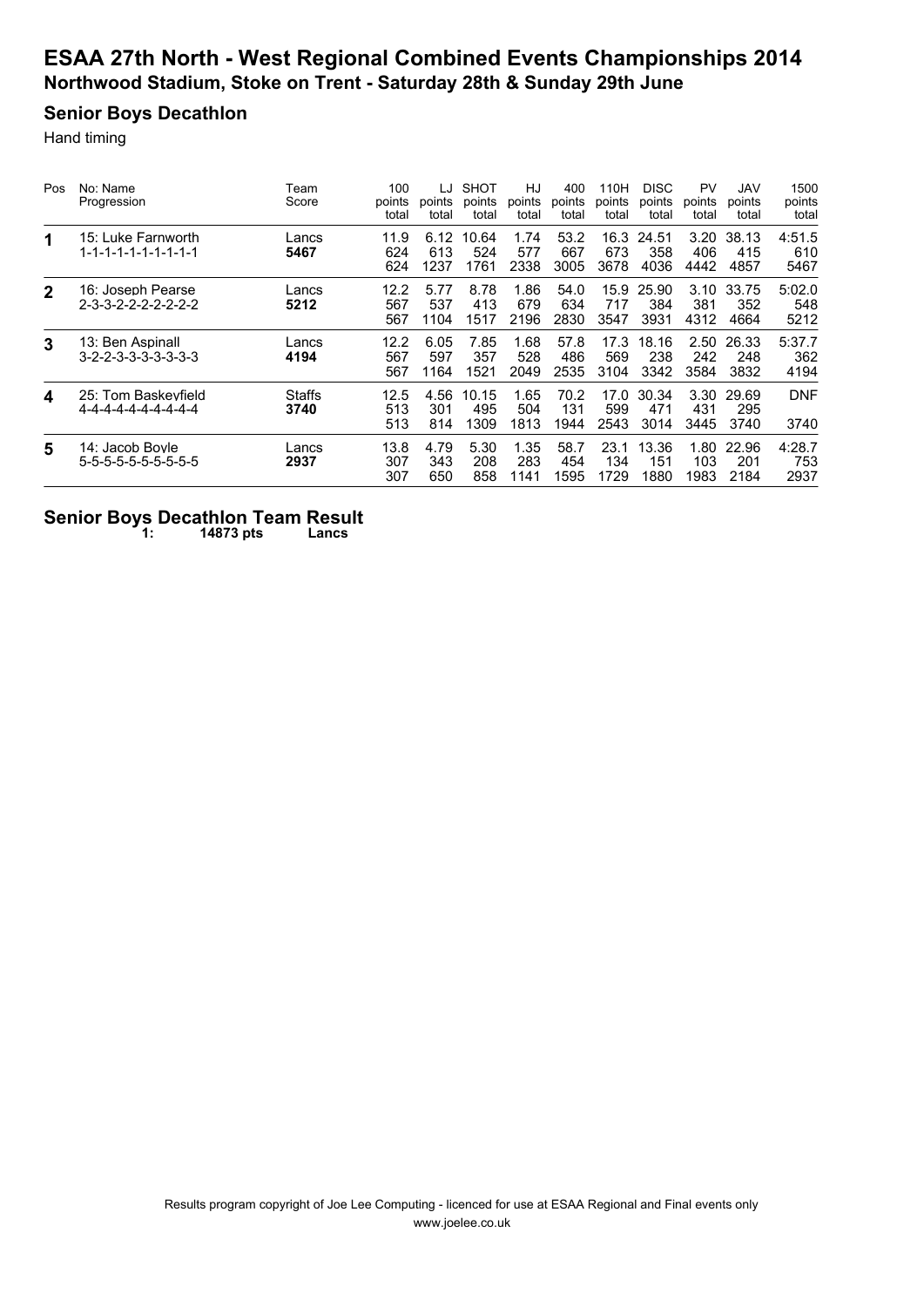#### **Senior Boys Decathlon**

Hand timing

| Pos          | No: Name<br>Progression                                    | Team<br>Score  | 100<br>points<br>total | $\mathsf{L}$<br>points<br>total | <b>SHOT</b><br>points<br>total | HJ<br>points<br>total | 400<br>points<br>total | 110H<br>points<br>total | <b>DISC</b><br>points<br>total | PV<br>points<br>total | JAV<br>points<br>total | 1500<br>points<br>total |
|--------------|------------------------------------------------------------|----------------|------------------------|---------------------------------|--------------------------------|-----------------------|------------------------|-------------------------|--------------------------------|-----------------------|------------------------|-------------------------|
| 1            | 15: Luke Farnworth<br>1-1-1-1-1-1-1-1-1-1-1                | Lancs<br>5467  | 11.9<br>624<br>624     | 6.12<br>613<br>1237             | 10.64<br>524<br>1761           | 1.74<br>577<br>2338   | 53.2<br>667<br>3005    | 16.3<br>673<br>3678     | 24.51<br>358<br>4036           | 3.20<br>406<br>4442   | 38.13<br>415<br>4857   | 4:51.5<br>610<br>5467   |
| $\mathbf{2}$ | 16: Joseph Pearse<br>$2 - 3 - 3 - 2 - 2 - 2 - 2 - 2 - 2$   | Lancs<br>5212  | 12.2<br>567<br>567     | 5.77<br>537<br>1104             | 8.78<br>413<br>1517            | 1.86<br>679<br>2196   | 54.0<br>634<br>2830    | 15.9<br>717<br>3547     | 25.90<br>384<br>3931           | 3.10<br>381<br>4312   | 33.75<br>352<br>4664   | 5:02.0<br>548<br>5212   |
| 3            | 13: Ben Aspinall<br>$3 - 2 - 2 - 3 - 3 - 3 - 3 - 3 - 3$    | Lancs<br>4194  | 12.2<br>567<br>567     | 6.05<br>597<br>1164             | 7.85<br>357<br>1521            | 1.68<br>528<br>2049   | 57.8<br>486<br>2535    | 17.3<br>569<br>3104     | 18.16<br>238<br>3342           | 2.50<br>242<br>3584   | 26.33<br>248<br>3832   | 5:37.7<br>362<br>4194   |
| 4            | 25: Tom Baskeyfield<br>$4 - 4 - 4 - 4 - 4 - 4 - 4 - 4 - 4$ | Staffs<br>3740 | 12.5<br>513<br>513     | 4.56<br>301<br>814              | 10.15<br>495<br>1309           | 1.65<br>504<br>1813   | 70.2<br>131<br>944     | 17.0<br>599<br>2543     | 30.34<br>471<br>3014           | 3.30<br>431<br>3445   | 29.69<br>295<br>3740   | <b>DNF</b><br>3740      |
| 5            | 14: Jacob Boyle<br>5-5-5-5-5-5-5-5-5-5                     | Lancs<br>2937  | 13.8<br>307<br>307     | 4.79<br>343<br>650              | 5.30<br>208<br>858             | 1.35<br>283<br>1141   | 58.7<br>454<br>1595    | 23.1<br>134<br>1729     | 13.36<br>151<br>1880           | 1.80<br>103<br>1983   | 22.96<br>201<br>2184   | 4:28.7<br>753<br>2937   |

#### **Senior Boys Decathlon Team Result**

**1: 14873 pts Lancs**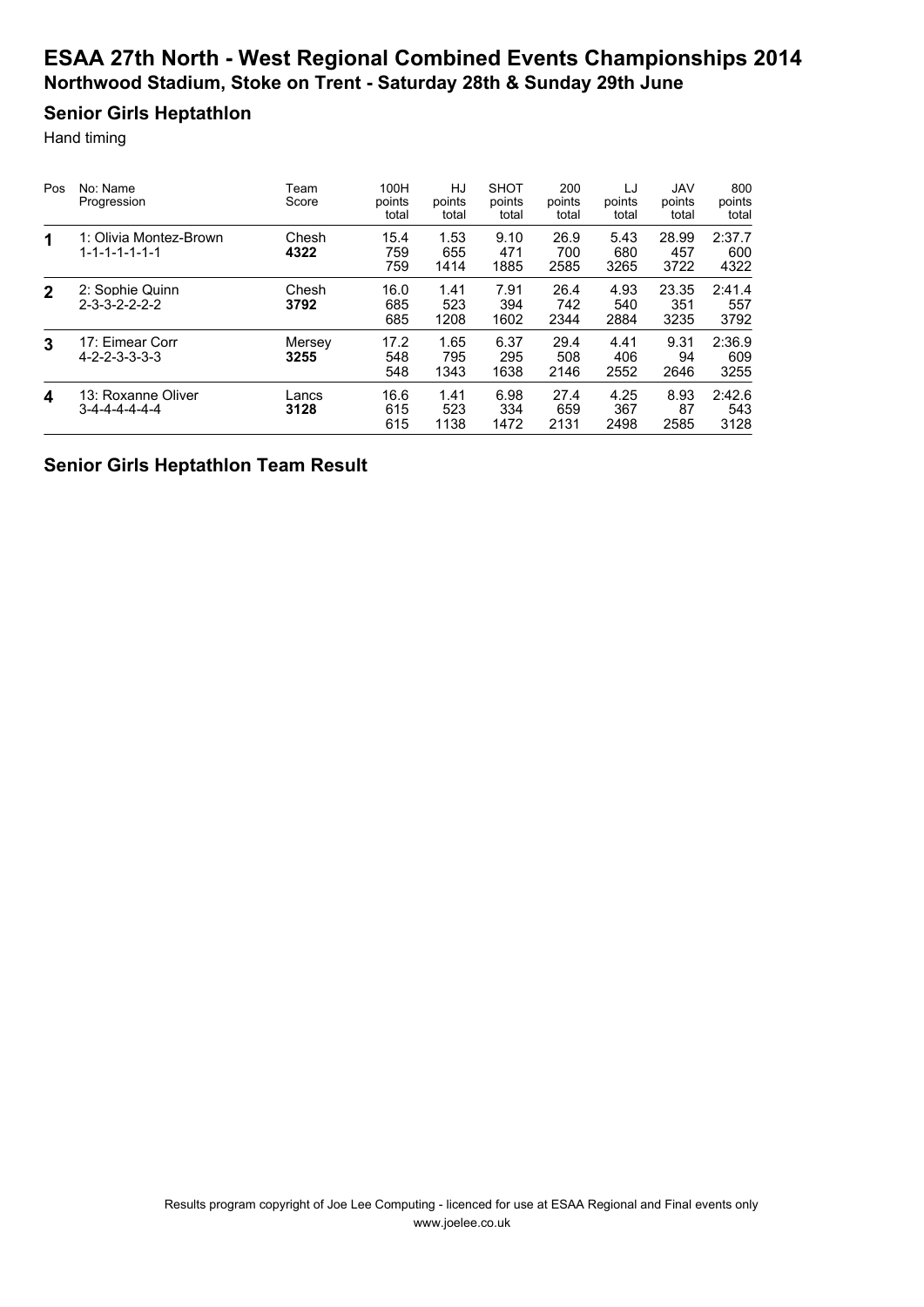#### **Senior Girls Heptathlon**

Hand timing

| Pos          | No: Name<br>Progression                           | Team<br>Score  | 100H<br>points<br>total | HJ<br>points<br>total | <b>SHOT</b><br>points<br>total | 200<br>points<br>total | LJ<br>points<br>total | <b>JAV</b><br>points<br>total | 800<br>points<br>total |
|--------------|---------------------------------------------------|----------------|-------------------------|-----------------------|--------------------------------|------------------------|-----------------------|-------------------------------|------------------------|
| 1            | 1: Olivia Montez-Brown<br>$1 - 1 - 1 - 1 - 1 - 1$ | Chesh<br>4322  | 15.4<br>759<br>759      | 1.53<br>655<br>1414   | 9.10<br>471<br>1885            | 26.9<br>700<br>2585    | 5.43<br>680<br>3265   | 28.99<br>457<br>3722          | 2:37.7<br>600<br>4322  |
| $\mathbf{2}$ | 2: Sophie Quinn<br>$2 - 3 - 3 - 2 - 2 - 2$        | Chesh<br>3792  | 16.0<br>685<br>685      | 1.41<br>523<br>1208   | 7.91<br>394<br>1602            | 26.4<br>742<br>2344    | 4.93<br>540<br>2884   | 23.35<br>351<br>3235          | 2:41.4<br>557<br>3792  |
| 3            | 17: Eimear Corr<br>$4 - 2 - 2 - 3 - 3 - 3 - 3$    | Mersey<br>3255 | 17.2<br>548<br>548      | 1.65<br>795<br>1343   | 6.37<br>295<br>1638            | 29.4<br>508<br>2146    | 4.41<br>406<br>2552   | 9.31<br>94<br>2646            | 2:36.9<br>609<br>3255  |
| 4            | 13: Roxanne Oliver<br>$3 - 4 - 4 - 4 - 4 - 4$     | Lancs<br>3128  | 16.6<br>615<br>615      | 1.41<br>523<br>1138   | 6.98<br>334<br>1472            | 27.4<br>659<br>2131    | 4.25<br>367<br>2498   | 8.93<br>87<br>2585            | 2:42.6<br>543<br>3128  |

#### **Senior Girls Heptathlon Team Result**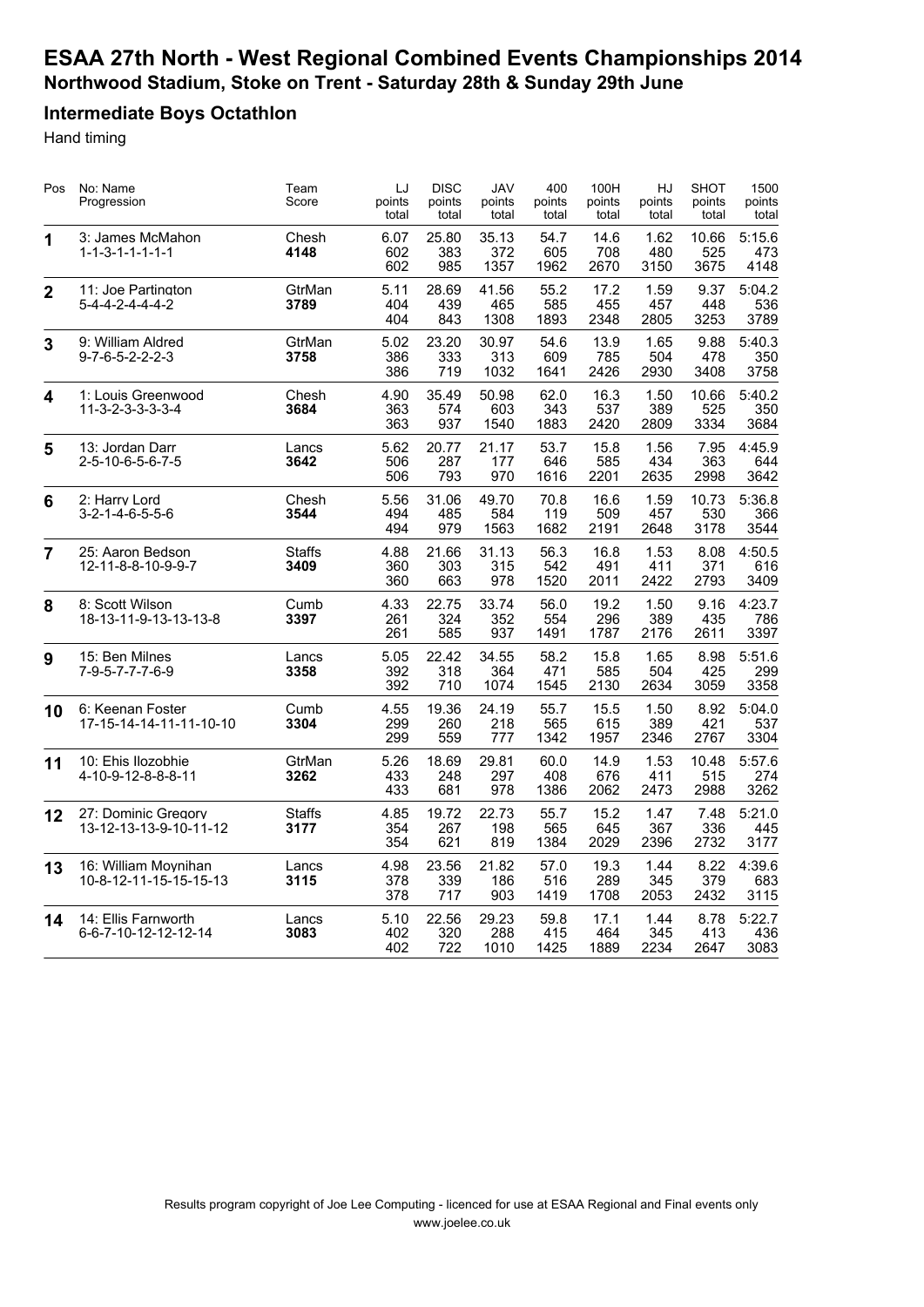### **Intermediate Boys Octathlon**

| Pos            | No: Name<br>Progression                           | Team<br>Score         | LJ<br>points<br>total | <b>DISC</b><br>points<br>total | JAV<br>points<br>total | 400<br>points<br>total | 100H<br>points<br>total | HJ<br>points<br>total | <b>SHOT</b><br>points<br>total | 1500<br>points<br>total |
|----------------|---------------------------------------------------|-----------------------|-----------------------|--------------------------------|------------------------|------------------------|-------------------------|-----------------------|--------------------------------|-------------------------|
| 1              | 3: James McMahon<br>$1 - 1 - 3 - 1 - 1 - 1 - 1$   | Chesh<br>4148         | 6.07<br>602<br>602    | 25.80<br>383<br>985            | 35.13<br>372<br>1357   | 54.7<br>605<br>1962    | 14.6<br>708<br>2670     | 1.62<br>480<br>3150   | 10.66<br>525<br>3675           | 5:15.6<br>473<br>4148   |
| $\overline{2}$ | 11: Joe Partington<br>$5 - 4 - 4 - 2 - 4 - 4 - 2$ | GtrMan<br>3789        | 5.11<br>404<br>404    | 28.69<br>439<br>843            | 41.56<br>465<br>1308   | 55.2<br>585<br>1893    | 17.2<br>455<br>2348     | 1.59<br>457<br>2805   | 9.37<br>448<br>3253            | 5:04.2<br>536<br>3789   |
| 3              | 9: William Aldred<br>$9 - 7 - 6 - 5 - 2 - 2 - 3$  | GtrMan<br>3758        | 5.02<br>386<br>386    | 23.20<br>333<br>719            | 30.97<br>313<br>1032   | 54.6<br>609<br>1641    | 13.9<br>785<br>2426     | 1.65<br>504<br>2930   | 9.88<br>478<br>3408            | 5:40.3<br>350<br>3758   |
| 4              | 1: Louis Greenwood<br>$11-3-2-3-3-3-3-4$          | Chesh<br>3684         | 4.90<br>363<br>363    | 35.49<br>574<br>937            | 50.98<br>603<br>1540   | 62.0<br>343<br>1883    | 16.3<br>537<br>2420     | 1.50<br>389<br>2809   | 10.66<br>525<br>3334           | 5:40.2<br>350<br>3684   |
| 5              | 13: Jordan Darr<br>2-5-10-6-5-6-7-5               | Lancs<br>3642         | 5.62<br>506<br>506    | 20.77<br>287<br>793            | 21.17<br>177<br>970    | 53.7<br>646<br>1616    | 15.8<br>585<br>2201     | 1.56<br>434<br>2635   | 7.95<br>363<br>2998            | 4:45.9<br>644<br>3642   |
| 6              | 2: Harry Lord<br>3-2-1-4-6-5-5-6                  | Chesh<br>3544         | 5.56<br>494<br>494    | 31.06<br>485<br>979            | 49.70<br>584<br>1563   | 70.8<br>119<br>1682    | 16.6<br>509<br>2191     | 1.59<br>457<br>2648   | 10.73<br>530<br>3178           | 5:36.8<br>366<br>3544   |
| 7              | 25: Aaron Bedson<br>12-11-8-8-10-9-9-7            | <b>Staffs</b><br>3409 | 4.88<br>360<br>360    | 21.66<br>303<br>663            | 31.13<br>315<br>978    | 56.3<br>542<br>1520    | 16.8<br>491<br>2011     | 1.53<br>411<br>2422   | 8.08<br>371<br>2793            | 4:50.5<br>616<br>3409   |
| 8              | 8: Scott Wilson<br>18-13-11-9-13-13-13-8          | Cumb<br>3397          | 4.33<br>261<br>261    | 22.75<br>324<br>585            | 33.74<br>352<br>937    | 56.0<br>554<br>1491    | 19.2<br>296<br>1787     | 1.50<br>389<br>2176   | 9.16<br>435<br>2611            | 4:23.7<br>786<br>3397   |
| 9              | 15: Ben Milnes<br>7-9-5-7-7-7-6-9                 | Lancs<br>3358         | 5.05<br>392<br>392    | 22.42<br>318<br>710            | 34.55<br>364<br>1074   | 58.2<br>471<br>1545    | 15.8<br>585<br>2130     | 1.65<br>504<br>2634   | 8.98<br>425<br>3059            | 5:51.6<br>299<br>3358   |
| 10             | 6: Keenan Foster<br>17-15-14-14-11-11-10-10       | Cumb<br>3304          | 4.55<br>299<br>299    | 19.36<br>260<br>559            | 24.19<br>218<br>777    | 55.7<br>565<br>1342    | 15.5<br>615<br>1957     | 1.50<br>389<br>2346   | 8.92<br>421<br>2767            | 5:04.0<br>537<br>3304   |
| 11             | 10: Ehis Ilozobhie<br>4-10-9-12-8-8-8-11          | GtrMan<br>3262        | 5.26<br>433<br>433    | 18.69<br>248<br>681            | 29.81<br>297<br>978    | 60.0<br>408<br>1386    | 14.9<br>676<br>2062     | 1.53<br>411<br>2473   | 10.48<br>515<br>2988           | 5:57.6<br>274<br>3262   |
| 12             | 27: Dominic Greaory<br>13-12-13-13-9-10-11-12     | <b>Staffs</b><br>3177 | 4.85<br>354<br>354    | 19.72<br>267<br>621            | 22.73<br>198<br>819    | 55.7<br>565<br>1384    | 15.2<br>645<br>2029     | 1.47<br>367<br>2396   | 7.48<br>336<br>2732            | 5:21.0<br>445<br>3177   |
| 13             | 16: William Moynihan<br>10-8-12-11-15-15-15-13    | Lancs<br>3115         | 4.98<br>378<br>378    | 23.56<br>339<br>717            | 21.82<br>186<br>903    | 57.0<br>516<br>1419    | 19.3<br>289<br>1708     | 1.44<br>345<br>2053   | 8.22<br>379<br>2432            | 4:39.6<br>683<br>3115   |
| 14             | 14: Ellis Farnworth<br>6-6-7-10-12-12-12-14       | Lancs<br>3083         | 5.10<br>402<br>402    | 22.56<br>320<br>722            | 29.23<br>288<br>1010   | 59.8<br>415<br>1425    | 17.1<br>464<br>1889     | 1.44<br>345<br>2234   | 8.78<br>413<br>2647            | 5:22.7<br>436<br>3083   |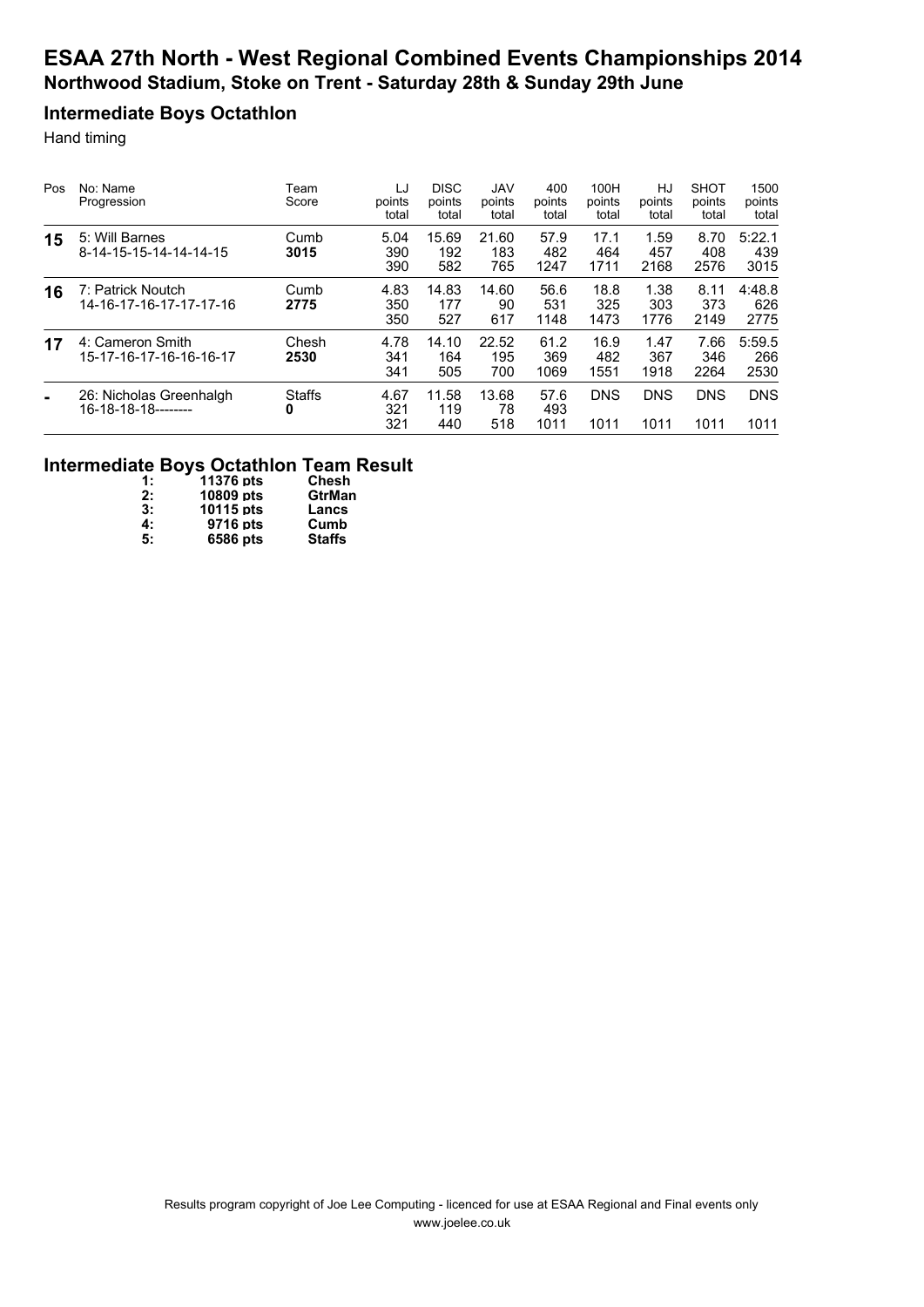### **Intermediate Boys Octathlon**

Hand timing

| Pos            | No: Name<br>Progression                            | Team<br>Score      | LJ<br>points<br>total | <b>DISC</b><br>points<br>total | JAV<br>points<br>total | 400<br>points<br>total | 100H<br>points<br>total | HJ<br>points<br>total | <b>SHOT</b><br>points<br>total | 1500<br>points<br>total |
|----------------|----------------------------------------------------|--------------------|-----------------------|--------------------------------|------------------------|------------------------|-------------------------|-----------------------|--------------------------------|-------------------------|
| 15             | 5: Will Barnes<br>8-14-15-15-14-14-14-15           | Cumb<br>3015       | 5.04<br>390<br>390    | 15.69<br>192<br>582            | 21.60<br>183<br>765    | 57.9<br>482<br>1247    | 17.1<br>464<br>1711     | 1.59<br>457<br>2168   | 8.70<br>408<br>2576            | 5:22.1<br>439<br>3015   |
| 16             | 7: Patrick Noutch<br>14-16-17-16-17-17-17-16       | Cumb<br>2775       | 4.83<br>350<br>350    | 14.83<br>177<br>527            | 14.60<br>90<br>617     | 56.6<br>531<br>1148    | 18.8<br>325<br>1473     | 1.38<br>303<br>1776   | 8.11<br>373<br>2149            | 4:48.8<br>626<br>2775   |
| 17             | 4: Cameron Smith<br>15-17-16-17-16-16-16-17        | Chesh<br>2530      | 4.78<br>341<br>341    | 14.10<br>164<br>505            | 22.52<br>195<br>700    | 61.2<br>369<br>1069    | 16.9<br>482<br>1551     | 1.47<br>367<br>1918   | 7.66<br>346<br>2264            | 5:59.5<br>266<br>2530   |
| $\blacksquare$ | 26: Nicholas Greenhalgh<br>$16-18-18-18$ --------- | <b>Staffs</b><br>0 | 4.67<br>321<br>321    | 11.58<br>119<br>440            | 13.68<br>78<br>518     | 57.6<br>493<br>1011    | <b>DNS</b><br>1011      | <b>DNS</b><br>1011    | <b>DNS</b><br>1011             | <b>DNS</b><br>1011      |

#### **Intermediate Boys Octathlon Team Result**

| 11376 pts | Chesh         |
|-----------|---------------|
| 10809 pts | <b>GtrMan</b> |
| 10115 pts | Lancs         |
| 9716 pts  | Cumb          |
| 6586 pts  | <b>Staffs</b> |
|           |               |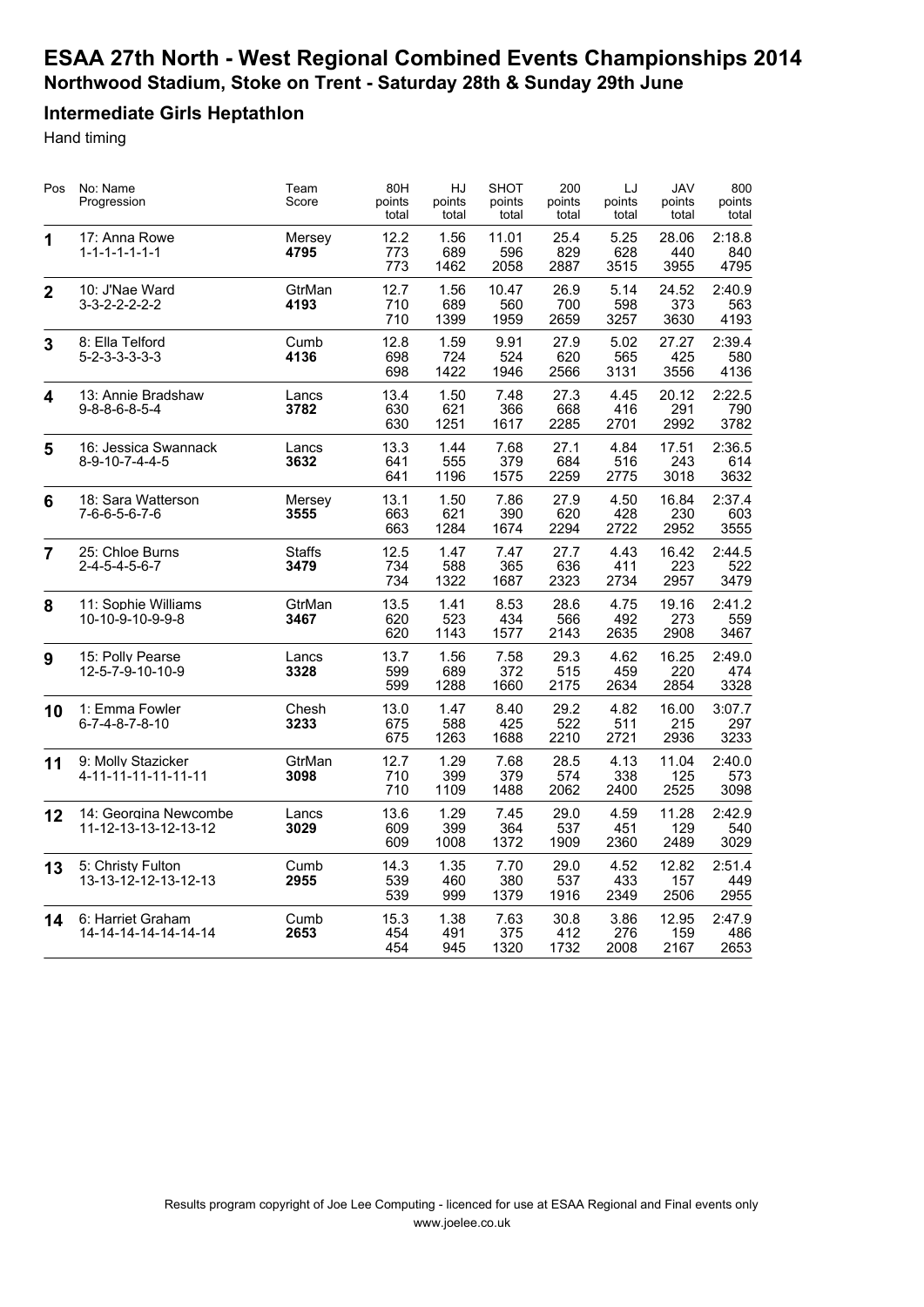### **Intermediate Girls Heptathlon**

| Pos            | No: Name<br>Progression                           | Team<br>Score         | 80H<br>points<br>total | HJ<br>points<br>total | <b>SHOT</b><br>points<br>total | 200<br>points<br>total | LJ<br>points<br>total | <b>JAV</b><br>points<br>total | 800<br>points<br>total |
|----------------|---------------------------------------------------|-----------------------|------------------------|-----------------------|--------------------------------|------------------------|-----------------------|-------------------------------|------------------------|
| 1              | 17: Anna Rowe<br>$1 - 1 - 1 - 1 - 1 - 1$          | Mersey<br>4795        | 12.2<br>773<br>773     | 1.56<br>689<br>1462   | 11.01<br>596<br>2058           | 25.4<br>829<br>2887    | 5.25<br>628<br>3515   | 28.06<br>440<br>3955          | 2:18.8<br>840<br>4795  |
| $\overline{2}$ | 10: J'Nae Ward<br>$3 - 3 - 2 - 2 - 2 - 2$         | GtrMan<br>4193        | 12.7<br>710<br>710     | 1.56<br>689<br>1399   | 10.47<br>560<br>1959           | 26.9<br>700<br>2659    | 5.14<br>598<br>3257   | 24.52<br>373<br>3630          | 2:40.9<br>563<br>4193  |
| 3              | 8: Ella Telford<br>$5 - 2 - 3 - 3 - 3 - 3$        | Cumb<br>4136          | 12.8<br>698<br>698     | 1.59<br>724<br>1422   | 9.91<br>524<br>1946            | 27.9<br>620<br>2566    | 5.02<br>565<br>3131   | 27.27<br>425<br>3556          | 2:39.4<br>580<br>4136  |
| 4              | 13: Annie Bradshaw<br>$9 - 8 - 8 - 6 - 8 - 5 - 4$ | Lancs<br>3782         | 13.4<br>630<br>630     | 1.50<br>621<br>1251   | 7.48<br>366<br>1617            | 27.3<br>668<br>2285    | 4.45<br>416<br>2701   | 20.12<br>291<br>2992          | 2:22.5<br>790<br>3782  |
| 5              | 16: Jessica Swannack<br>$8-9-10-7-4-4-5$          | Lancs<br>3632         | 13.3<br>641<br>641     | 1.44<br>555<br>1196   | 7.68<br>379<br>1575            | 27.1<br>684<br>2259    | 4.84<br>516<br>2775   | 17.51<br>243<br>3018          | 2:36.5<br>614<br>3632  |
| 6              | 18: Sara Watterson<br>7-6-6-5-6-7-6               | Mersey<br>3555        | 13.1<br>663<br>663     | 1.50<br>621<br>1284   | 7.86<br>390<br>1674            | 27.9<br>620<br>2294    | 4.50<br>428<br>2722   | 16.84<br>230<br>2952          | 2:37.4<br>603<br>3555  |
| $\overline{7}$ | 25: Chloe Burns<br>2-4-5-4-5-6-7                  | <b>Staffs</b><br>3479 | 12.5<br>734<br>734     | 1.47<br>588<br>1322   | 7.47<br>365<br>1687            | 27.7<br>636<br>2323    | 4.43<br>411<br>2734   | 16.42<br>223<br>2957          | 2:44.5<br>522<br>3479  |
| 8              | 11: Sophie Williams<br>10-10-9-10-9-9-8           | GtrMan<br>3467        | 13.5<br>620<br>620     | 1.41<br>523<br>1143   | 8.53<br>434<br>1577            | 28.6<br>566<br>2143    | 4.75<br>492<br>2635   | 19.16<br>273<br>2908          | 2:41.2<br>559<br>3467  |
| 9              | 15: Polly Pearse<br>12-5-7-9-10-10-9              | Lancs<br>3328         | 13.7<br>599<br>599     | 1.56<br>689<br>1288   | 7.58<br>372<br>1660            | 29.3<br>515<br>2175    | 4.62<br>459<br>2634   | 16.25<br>220<br>2854          | 2:49.0<br>474<br>3328  |
| 10             | 1: Emma Fowler<br>6-7-4-8-7-8-10                  | Chesh<br>3233         | 13.0<br>675<br>675     | 1.47<br>588<br>1263   | 8.40<br>425<br>1688            | 29.2<br>522<br>2210    | 4.82<br>511<br>2721   | 16.00<br>215<br>2936          | 3:07.7<br>297<br>3233  |
| 11             | 9: Mollv Stazicker<br>4-11-11-11-11-11-11         | GtrMan<br>3098        | 12.7<br>710<br>710     | 1.29<br>399<br>1109   | 7.68<br>379<br>1488            | 28.5<br>574<br>2062    | 4.13<br>338<br>2400   | 11.04<br>125<br>2525          | 2:40.0<br>573<br>3098  |
| 12             | 14: Georgina Newcombe<br>11-12-13-13-12-13-12     | Lancs<br>3029         | 13.6<br>609<br>609     | 1.29<br>399<br>1008   | 7.45<br>364<br>1372            | 29.0<br>537<br>1909    | 4.59<br>451<br>2360   | 11.28<br>129<br>2489          | 2:42.9<br>540<br>3029  |
| 13             | 5: Christy Fulton<br>13-13-12-12-13-12-13         | Cumb<br>2955          | 14.3<br>539<br>539     | 1.35<br>460<br>999    | 7.70<br>380<br>1379            | 29.0<br>537<br>1916    | 4.52<br>433<br>2349   | 12.82<br>157<br>2506          | 2:51.4<br>449<br>2955  |
| 14             | 6: Harriet Graham<br>14-14-14-14-14-14-14         | Cumb<br>2653          | 15.3<br>454<br>454     | 1.38<br>491<br>945    | 7.63<br>375<br>1320            | 30.8<br>412<br>1732    | 3.86<br>276<br>2008   | 12.95<br>159<br>2167          | 2:47.9<br>486<br>2653  |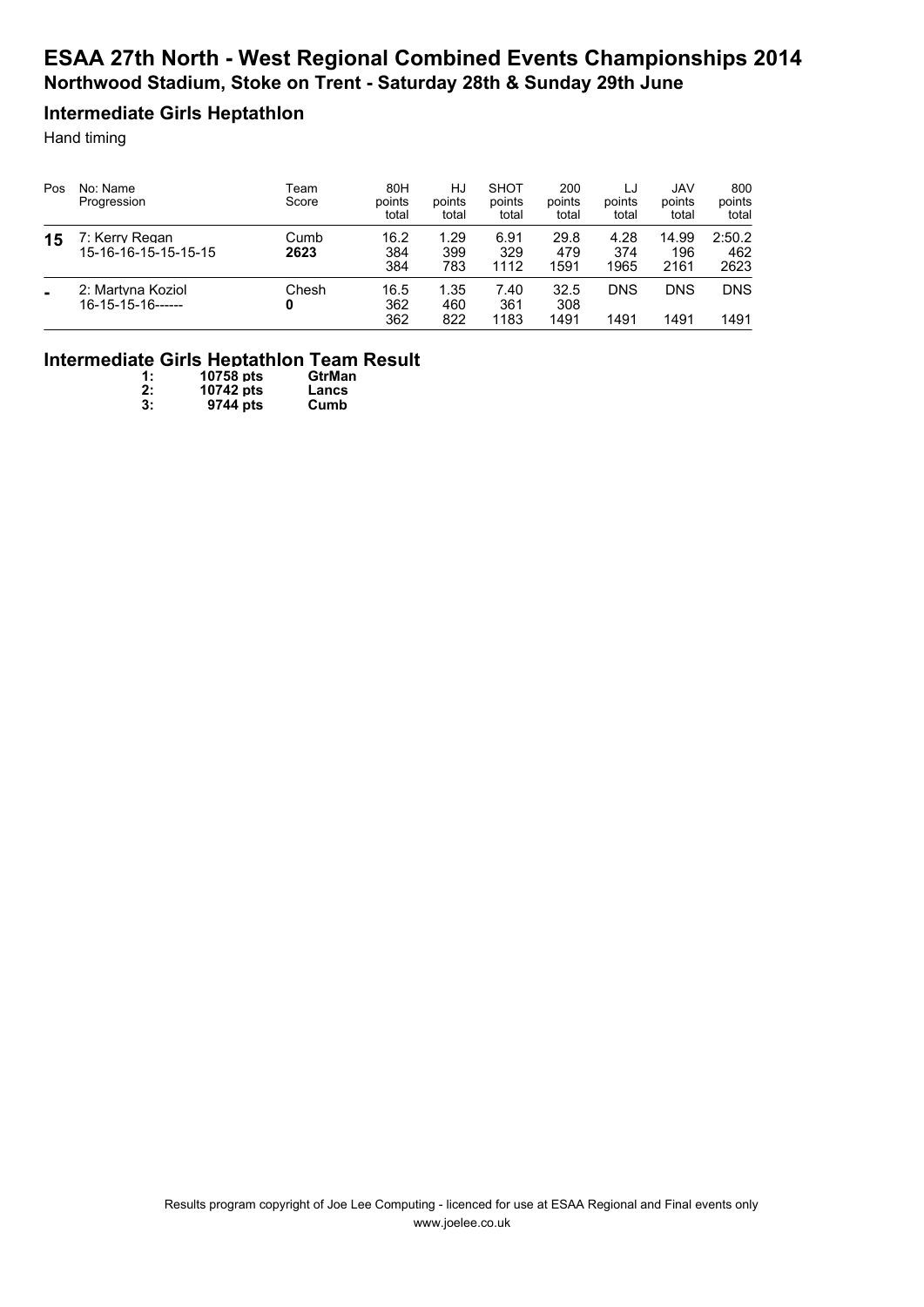## **Intermediate Girls Heptathlon**

Hand timing

| Pos | No: Name<br>Progression                          | Team<br>Score | 80H<br>points<br>total | HJ<br>points<br>total | SHOT<br>points<br>total | 200<br>points<br>total | LJ<br>points<br>total | <b>JAV</b><br>points<br>total | 800<br>points<br>total |
|-----|--------------------------------------------------|---------------|------------------------|-----------------------|-------------------------|------------------------|-----------------------|-------------------------------|------------------------|
| 15  | 7: Kerry Regan<br>15-16-16-15-15-15-15           | Cumb<br>2623  | 16.2<br>384<br>384     | 1.29<br>399<br>783    | 6.91<br>329<br>1112     | 29.8<br>479<br>1591    | 4.28<br>374<br>1965   | 14.99<br>196<br>2161          | 2:50.2<br>462<br>2623  |
| -   | 2: Martyna Koziol<br>$16 - 15 - 15 - 16 - \dots$ | Chesh<br>0    | 16.5<br>362<br>362     | 1.35<br>460<br>822    | 7.40<br>361<br>1183     | 32.5<br>308<br>1491    | DNS<br>1491           | DNS<br>1491                   | <b>DNS</b><br>1491     |

#### **Intermediate Girls Heptathlon Team Result**

| $\ddagger$ : | 10758 pts | GtrMan |
|--------------|-----------|--------|
| 2:           | 10742 pts | Lancs  |
| 3:           | 9744 pts  | Cumb   |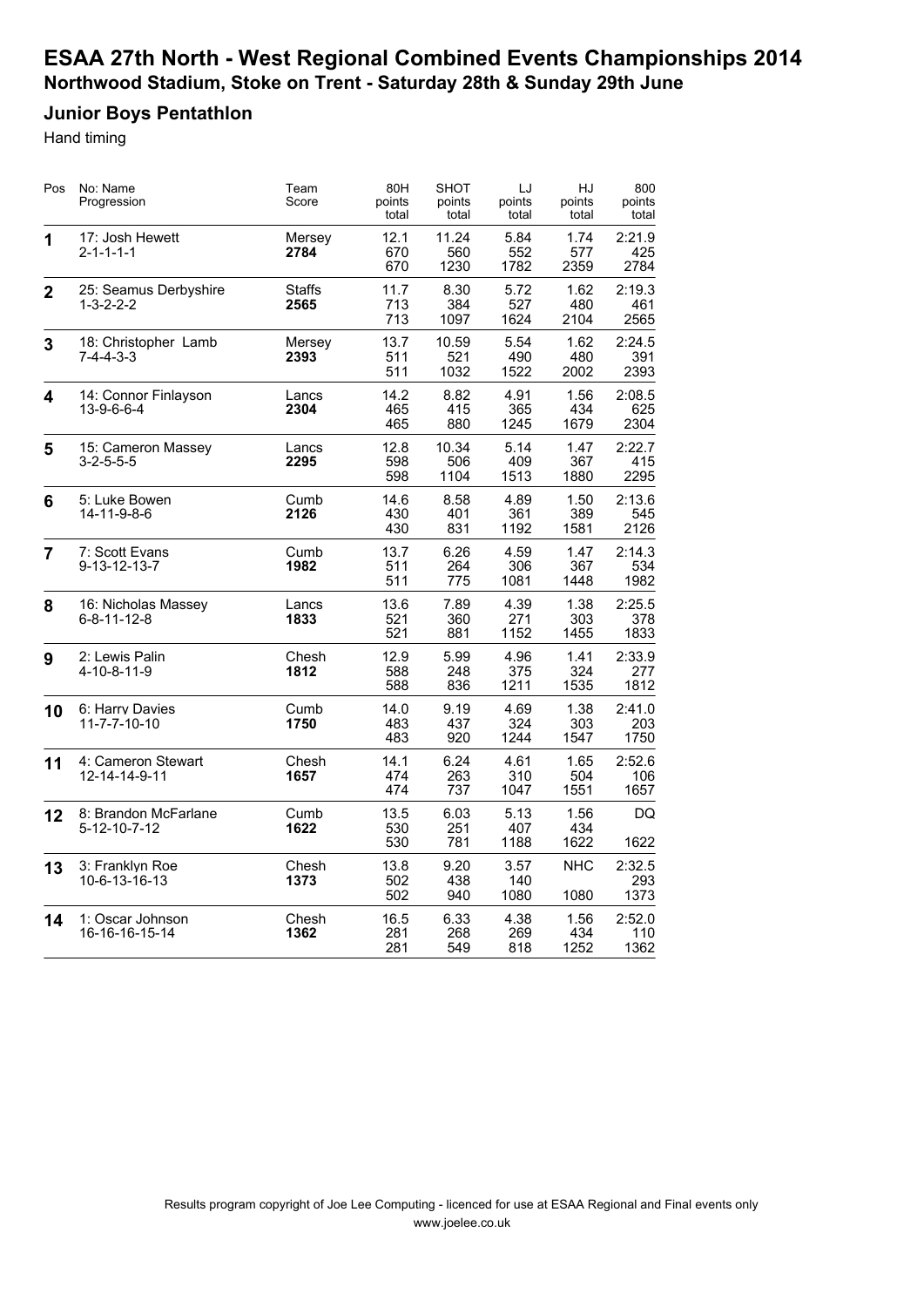### **Junior Boys Pentathlon**

| Pos            | No: Name<br>Progression                      | Team<br>Score         | 80H<br>points<br>total | <b>SHOT</b><br>points<br>total | LJ<br>points<br>total | HJ<br>points<br>total | 800<br>points<br>total |
|----------------|----------------------------------------------|-----------------------|------------------------|--------------------------------|-----------------------|-----------------------|------------------------|
| 1              | 17: Josh Hewett<br>$2 - 1 - 1 - 1 - 1$       | Mersey<br>2784        | 12.1<br>670<br>670     | 11.24<br>560<br>1230           | 5.84<br>552<br>1782   | 1.74<br>577<br>2359   | 2:21.9<br>425<br>2784  |
| $\overline{2}$ | 25: Seamus Derbyshire<br>$1 - 3 - 2 - 2 - 2$ | <b>Staffs</b><br>2565 | 11.7<br>713<br>713     | 8.30<br>384<br>1097            | 5.72<br>527<br>1624   | 1.62<br>480<br>2104   | 2:19.3<br>461<br>2565  |
| 3              | 18: Christopher Lamb<br>7-4-4-3-3            | Mersey<br>2393        | 13.7<br>511<br>511     | 10.59<br>521<br>1032           | 5.54<br>490<br>1522   | 1.62<br>480<br>2002   | 2:24.5<br>391<br>2393  |
| 4              | 14: Connor Finlayson<br>13-9-6-6-4           | Lancs<br>2304         | 14.2<br>465<br>465     | 8.82<br>415<br>880             | 4.91<br>365<br>1245   | 1.56<br>434<br>1679   | 2:08.5<br>625<br>2304  |
| 5              | 15: Cameron Massey<br>$3 - 2 - 5 - 5 - 5$    | Lancs<br>2295         | 12.8<br>598<br>598     | 10.34<br>506<br>1104           | 5.14<br>409<br>1513   | 1.47<br>367<br>1880   | 2:22.7<br>415<br>2295  |
| 6              | 5: Luke Bowen<br>14-11-9-8-6                 | Cumb<br>2126          | 14.6<br>430<br>430     | 8.58<br>401<br>831             | 4.89<br>361<br>1192   | 1.50<br>389<br>1581   | 2:13.6<br>545<br>2126  |
| 7              | 7: Scott Evans<br>$9 - 13 - 12 - 13 - 7$     | Cumb<br>1982          | 13.7<br>511<br>511     | 6.26<br>264<br>775             | 4.59<br>306<br>1081   | 1.47<br>367<br>1448   | 2:14.3<br>534<br>1982  |
| 8              | 16: Nicholas Massey<br>$6 - 8 - 11 - 12 - 8$ | Lancs<br>1833         | 13.6<br>521<br>521     | 7.89<br>360<br>881             | 4.39<br>271<br>1152   | 1.38<br>303<br>1455   | 2:25.5<br>378<br>1833  |
| 9              | 2: Lewis Palin<br>4-10-8-11-9                | Chesh<br>1812         | 12.9<br>588<br>588     | 5.99<br>248<br>836             | 4.96<br>375<br>1211   | 1.41<br>324<br>1535   | 2:33.9<br>277<br>1812  |
| 10             | 6: Harry Davies<br>11-7-7-10-10              | Cumb<br>1750          | 14.0<br>483<br>483     | 9.19<br>437<br>920             | 4.69<br>324<br>1244   | 1.38<br>303<br>1547   | 2:41.0<br>203<br>1750  |
| 11             | 4: Cameron Stewart<br>12-14-14-9-11          | Chesh<br>1657         | 14.1<br>474<br>474     | 6.24<br>263<br>737             | 4.61<br>310<br>1047   | 1.65<br>504<br>1551   | 2:52.6<br>106<br>1657  |
| 12             | 8: Brandon McFarlane<br>5-12-10-7-12         | Cumb<br>1622          | 13.5<br>530<br>530     | 6.03<br>251<br>781             | 5.13<br>407<br>1188   | 1.56<br>434<br>1622   | DQ<br>1622             |
| 13             | 3: Franklyn Roe<br>10-6-13-16-13             | Chesh<br>1373         | 13.8<br>502<br>502     | 9.20<br>438<br>940             | 3.57<br>140<br>1080   | <b>NHC</b><br>1080    | 2:32.5<br>293<br>1373  |
| 14             | 1: Oscar Johnson<br>16-16-16-15-14           | Chesh<br>1362         | 16.5<br>281<br>281     | 6.33<br>268<br>549             | 4.38<br>269<br>818    | 1.56<br>434<br>1252   | 2:52.0<br>110<br>1362  |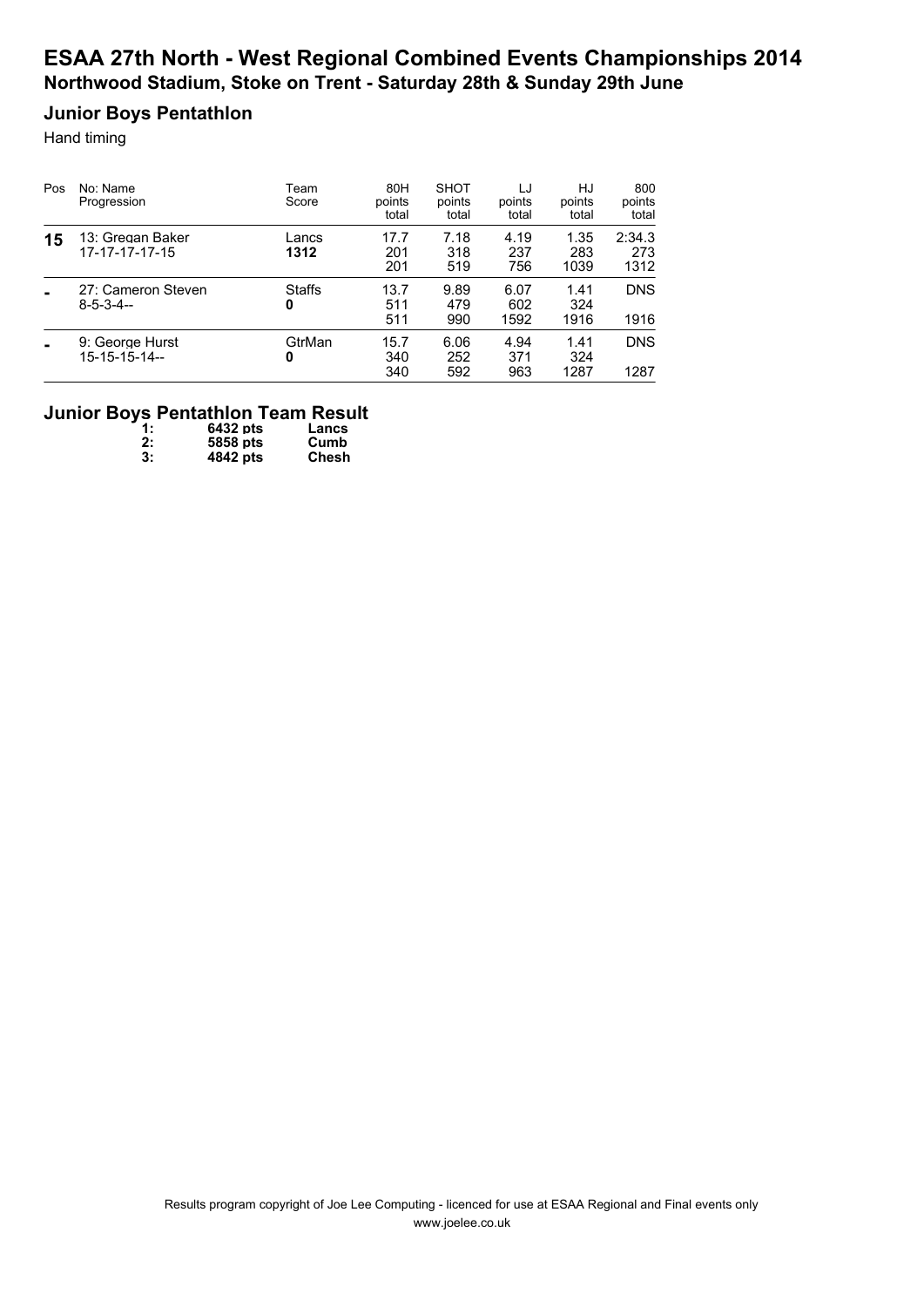### **Junior Boys Pentathlon**

Hand timing

| Pos | No: Name<br>Progression                  | Team<br>Score      | 80H<br>points<br>total | SHOT<br>points<br>total | LJ<br>points<br>total | HJ<br>points<br>total | 800<br>points<br>total |
|-----|------------------------------------------|--------------------|------------------------|-------------------------|-----------------------|-----------------------|------------------------|
| 15  | 13: Gregan Baker<br>17-17-17-17-15       | Lancs<br>1312      | 17.7<br>201<br>201     | 7.18<br>318<br>519      | 4.19<br>237<br>756    | 1.35<br>283<br>1039   | 2:34.3<br>273<br>1312  |
|     | 27: Cameron Steven<br>$8 - 5 - 3 - 4 -$  | <b>Staffs</b><br>0 | 13.7<br>511<br>511     | 9.89<br>479<br>990      | 6.07<br>602<br>1592   | 1.41<br>324<br>1916   | <b>DNS</b><br>1916     |
|     | 9: George Hurst<br>$15 - 15 - 15 - 14 -$ | GtrMan<br>0        | 15.7<br>340<br>340     | 6.06<br>252<br>592      | 4.94<br>371<br>963    | 1.41<br>324<br>1287   | <b>DNS</b><br>1287     |

#### **Junior Boys Pentathlon Team Result**

| $\ddagger$ : | 6432 pts | Lancs        |
|--------------|----------|--------------|
| 2:           | 5858 pts | Cumb         |
| 3:           | 4842 pts | <b>Chesh</b> |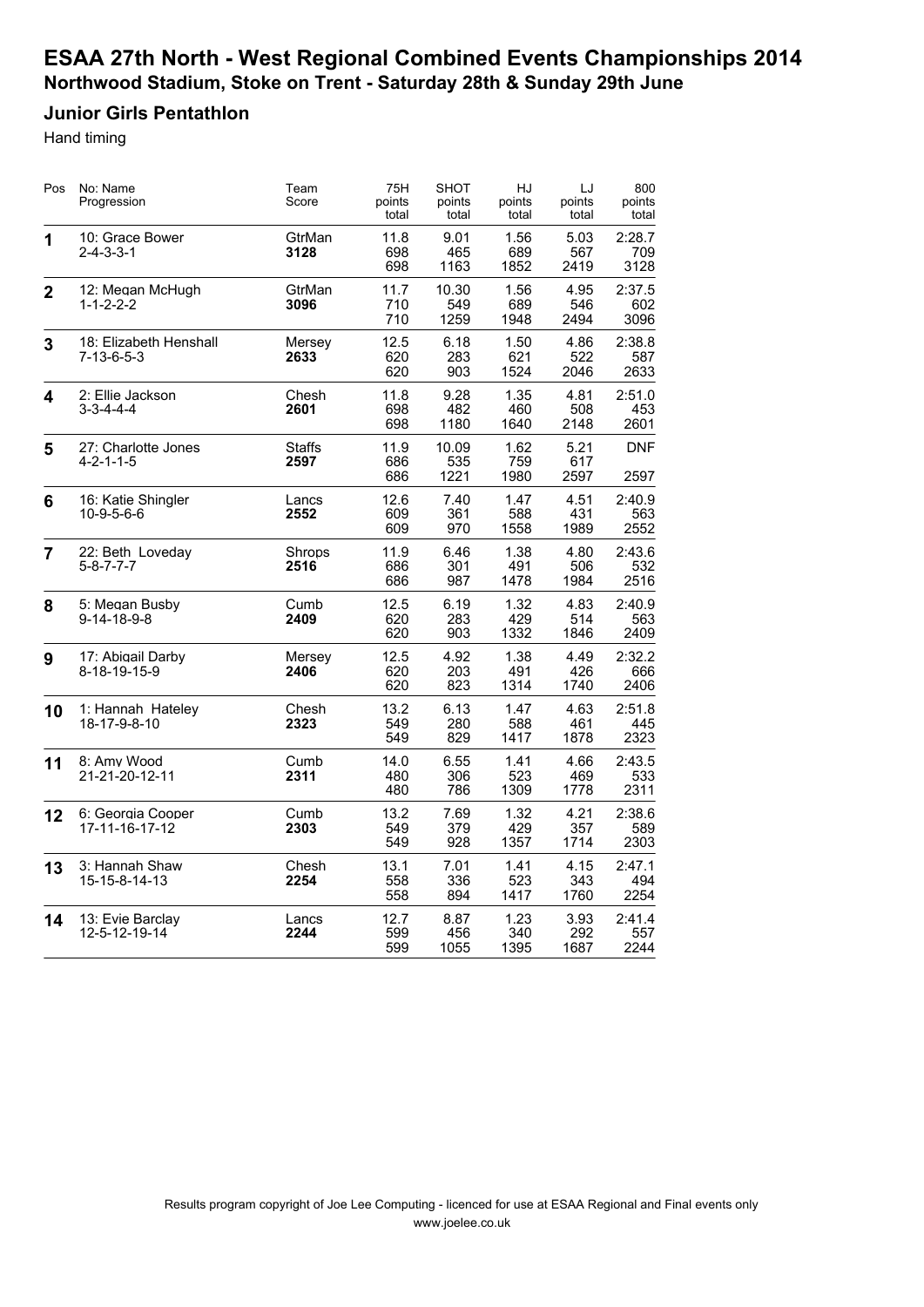### **Junior Girls Pentathlon**

| Pos            | No: Name<br>Progression                    | Team<br>Score         | 75H<br>points<br>total | <b>SHOT</b><br>points<br>total | HJ<br>points<br>total | LJ<br>points<br>total | 800<br>points<br>total |
|----------------|--------------------------------------------|-----------------------|------------------------|--------------------------------|-----------------------|-----------------------|------------------------|
| 1              | 10: Grace Bower<br>$2 - 4 - 3 - 3 - 1$     | GtrMan<br>3128        | 11.8<br>698<br>698     | 9.01<br>465<br>1163            | 1.56<br>689<br>1852   | 5.03<br>567<br>2419   | 2:28.7<br>709<br>3128  |
| $\overline{2}$ | 12: Megan McHugh<br>$1 - 1 - 2 - 2 - 2$    | GtrMan<br>3096        | 11.7<br>710<br>710     | 10.30<br>549<br>1259           | 1.56<br>689<br>1948   | 4.95<br>546<br>2494   | 2:37.5<br>602<br>3096  |
| 3              | 18: Elizabeth Henshall<br>7-13-6-5-3       | Mersey<br>2633        | 12.5<br>620<br>620     | 6.18<br>283<br>903             | 1.50<br>621<br>1524   | 4.86<br>522<br>2046   | 2:38.8<br>587<br>2633  |
| 4              | 2: Ellie Jackson<br>$3 - 3 - 4 - 4 - 4$    | Chesh<br>2601         | 11.8<br>698<br>698     | 9.28<br>482<br>1180            | 1.35<br>460<br>1640   | 4.81<br>508<br>2148   | 2:51.0<br>453<br>2601  |
| 5              | 27: Charlotte Jones<br>$4 - 2 - 1 - 1 - 5$ | <b>Staffs</b><br>2597 | 11.9<br>686<br>686     | 10.09<br>535<br>1221           | 1.62<br>759<br>1980   | 5.21<br>617<br>2597   | <b>DNF</b><br>2597     |
| 6              | 16: Katie Shingler<br>10-9-5-6-6           | Lancs<br>2552         | 12.6<br>609<br>609     | 7.40<br>361<br>970             | 1.47<br>588<br>1558   | 4.51<br>431<br>1989   | 2:40.9<br>563<br>2552  |
| 7              | 22: Beth Loveday<br>$5 - 8 - 7 - 7 - 7$    | Shrops<br>2516        | 11.9<br>686<br>686     | 6.46<br>301<br>987             | 1.38<br>491<br>1478   | 4.80<br>506<br>1984   | 2:43.6<br>532<br>2516  |
| 8              | 5: Megan Busby<br>$9 - 14 - 18 - 9 - 8$    | Cumb<br>2409          | 12.5<br>620<br>620     | 6.19<br>283<br>903             | 1.32<br>429<br>1332   | 4.83<br>514<br>1846   | 2:40.9<br>563<br>2409  |
| 9              | 17: Abigail Darby<br>8-18-19-15-9          | Mersey<br>2406        | 12.5<br>620<br>620     | 4.92<br>203<br>823             | 1.38<br>491<br>1314   | 4.49<br>426<br>1740   | 2:32.2<br>666<br>2406  |
| 10             | 1: Hannah Hateley<br>18-17-9-8-10          | Chesh<br>2323         | 13.2<br>549<br>549     | 6.13<br>280<br>829             | 1.47<br>588<br>1417   | 4.63<br>461<br>1878   | 2:51.8<br>445<br>2323  |
| 11             | 8: Amv Wood<br>21-21-20-12-11              | Cumb<br>2311          | 14.0<br>480<br>480     | 6.55<br>306<br>786             | 1.41<br>523<br>1309   | 4.66<br>469<br>1778   | 2:43.5<br>533<br>2311  |
| 12             | 6: Georgia Cooper<br>17-11-16-17-12        | Cumb<br>2303          | 13.2<br>549<br>549     | 7.69<br>379<br>928             | 1.32<br>429<br>1357   | 4.21<br>357<br>1714   | 2:38.6<br>589<br>2303  |
| 13             | 3: Hannah Shaw<br>15-15-8-14-13            | Chesh<br>2254         | 13.1<br>558<br>558     | 7.01<br>336<br>894             | 1.41<br>523<br>1417   | 4.15<br>343<br>1760   | 2:47.1<br>494<br>2254  |
| 14             | 13: Evie Barclay<br>12-5-12-19-14          | Lancs<br>2244         | 12.7<br>599<br>599     | 8.87<br>456<br>1055            | 1.23<br>340<br>1395   | 3.93<br>292<br>1687   | 2:41.4<br>557<br>2244  |